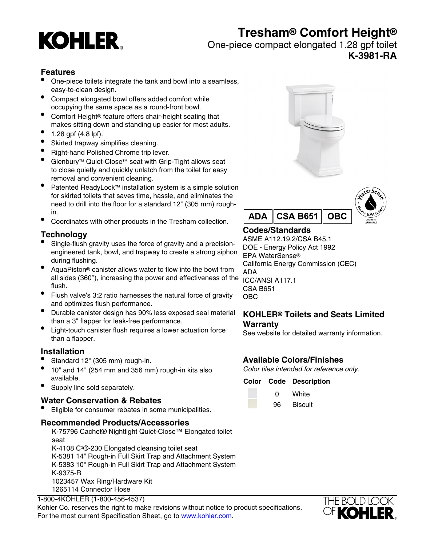

# **Tresham® Comfort Height®**

One-piece compact elongated 1.28 gpf toilet

**K-3981-RA**

## **Features**

- One-piece toilets integrate the tank and bowl into a seamless, easy-to-clean design.
- Compact elongated bowl offers added comfort while occupying the same space as a round-front bowl.
- Comfort Height® feature offers chair-height seating that makes sitting down and standing up easier for most adults.
- 1.28 gpf (4.8 lpf).
- Skirted trapway simplifies cleaning.
- Right-hand Polished Chrome trip lever.
- Glenbury™ Quiet-Close™ seat with Grip-Tight allows seat to close quietly and quickly unlatch from the toilet for easy removal and convenient cleaning.
- Patented ReadyLock™ installation system is a simple solution for skirted toilets that saves time, hassle, and eliminates the need to drill into the floor for a standard 12" (305 mm) roughin.
- Coordinates with other products in the Tresham collection.

# **Technology**

- Single-flush gravity uses the force of gravity and a precisionengineered tank, bowl, and trapway to create a strong siphon during flushing.
- AquaPiston® canister allows water to flow into the bowl from all sides (360°), increasing the power and effectiveness of the ICC/ANSI A117.1 flush.
- Flush valve's 3:2 ratio harnesses the natural force of gravity and optimizes flush performance.
- Durable canister design has 90% less exposed seal material than a 3" flapper for leak-free performance.
- Light-touch canister flush requires a lower actuation force than a flapper.

## **Installation**

- Standard 12" (305 mm) rough-in.
- 10" and 14" (254 mm and 356 mm) rough-in kits also available.
- Supply line sold separately.

## **Water Conservation & Rebates**

Eligible for consumer rebates in some municipalities.

#### **Recommended Products/Accessories**

K-75796 Cachet® Nightlight Quiet-Close™ Elongated toilet seat K-4108 C<sup>3</sup>®-230 Elongated cleansing toilet seat K-5381 14" Rough-in Full Skirt Trap and Attachment System K-5383 10" Rough-in Full Skirt Trap and Attachment System K-9375-R 1023457 Wax Ring/Hardware Kit 1265114 Connector Hose

### 1-800-4KOHLER (1-800-456-4537)

Kohler Co. reserves the right to make revisions without notice to product specifications. For the most current Specification Sheet, go to [www.kohler.com](http://www.kohler.com).





# **Codes/Standards**

ASME A112.19.2/CSA B45.1 DOE - Energy Policy Act 1992 EPA WaterSense® California Energy Commission (CEC) ADA CSA B651 OBC

## **KOHLER® Toilets and Seats Limited Warranty**

See website for detailed warranty information.

# **Available Colors/Finishes**

Color tiles intended for reference only.

#### **Color Code Description**

0 White 96 Biscuit